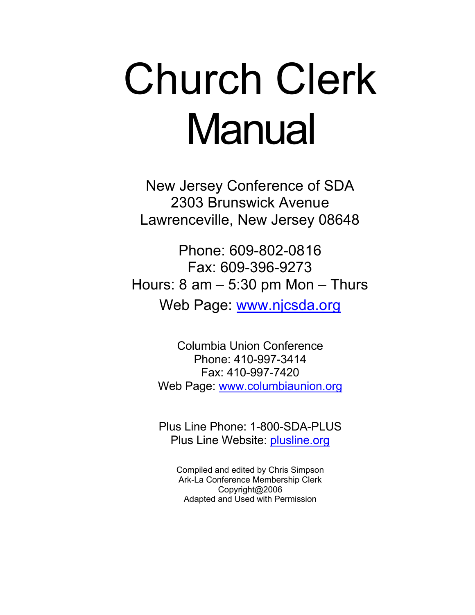# Church Clerk **Manual**

New Jersey Conference of SDA 2303 Brunswick Avenue Lawrenceville, New Jersey 08648

Phone: 609-802-0816 Fax: 609-396-9273 Hours:  $8 \text{ am} - 5:30 \text{ pm}$  Mon  $-$  Thurs Web Page: www.njcsda.org

> Columbia Union Conference Phone: 410-997-3414 Fax: 410-997-7420 Web Page: www.columbiaunion.org

> Plus Line Phone: 1-800-SDA-PLUS Plus Line Website: plusline.org

Compiled and edited by Chris Simpson Ark-La Conference Membership Clerk Copyright@2006 Adapted and Used with Permission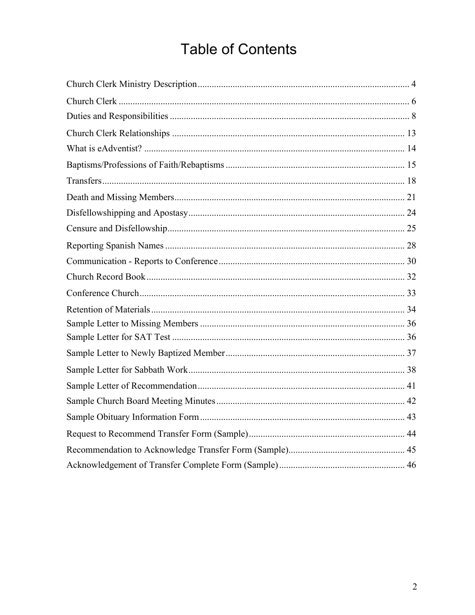### **Table of Contents**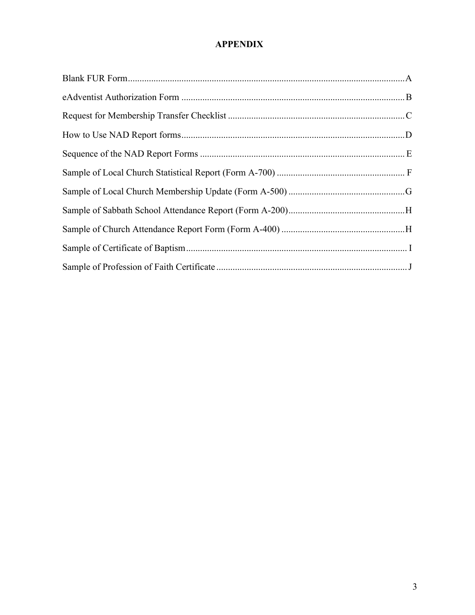#### **APPENDIX**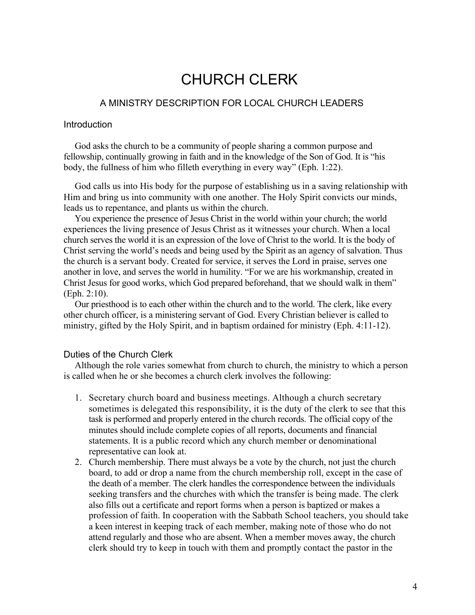### CHURCH CLERK

#### A MINISTRY DESCRIPTION FOR LOCAL CHURCH LEADERS

#### **Introduction**

God asks the church to be a community of people sharing a common purpose and fellowship, continually growing in faith and in the knowledge of the Son of God. It is "his body, the fullness of him who filleth everything in every way" (Eph. 1:22).

God calls us into His body for the purpose of establishing us in a saving relationship with Him and bring us into community with one another. The Holy Spirit convicts our minds, leads us to repentance, and plants us within the church.

You experience the presence of Jesus Christ in the world within your church; the world experiences the living presence of Jesus Christ as it witnesses your church. When a local church serves the world it is an expression of the love of Christ to the world. It is the body of Christ serving the world's needs and being used by the Spirit as an agency of salvation. Thus the church is a servant body. Created for service, it serves the Lord in praise, serves one another in love, and serves the world in humility. "For we are his workmanship, created in Christ Jesus for good works, which God prepared beforehand, that we should walk in them" (Eph. 2:10).

Our priesthood is to each other within the church and to the world. The clerk, like every other church officer, is a ministering servant of God. Every Christian believer is called to ministry, gifted by the Holy Spirit, and in baptism ordained for ministry (Eph. 4:11-12).

#### Duties of the Church Clerk

Although the role varies somewhat from church to church, the ministry to which a person is called when he or she becomes a church clerk involves the following:

- 1. Secretary church board and business meetings. Although a church secretary sometimes is delegated this responsibility, it is the duty of the clerk to see that this task is performed and properly entered in the church records. The official copy of the minutes should include complete copies of all reports, documents and financial statements. It is a public record which any church member or denominational representative can look at.
- 2. Church membership. There must always be a vote by the church, not just the church board, to add or drop a name from the church membership roll, except in the case of the death of a member. The clerk handles the correspondence between the individuals seeking transfers and the churches with which the transfer is being made. The clerk also fills out a certificate and report forms when a person is baptized or makes a profession of faith. In cooperation with the Sabbath School teachers, you should take a keen interest in keeping track of each member, making note of those who do not attend regularly and those who are absent. When a member moves away, the church clerk should try to keep in touch with them and promptly contact the pastor in the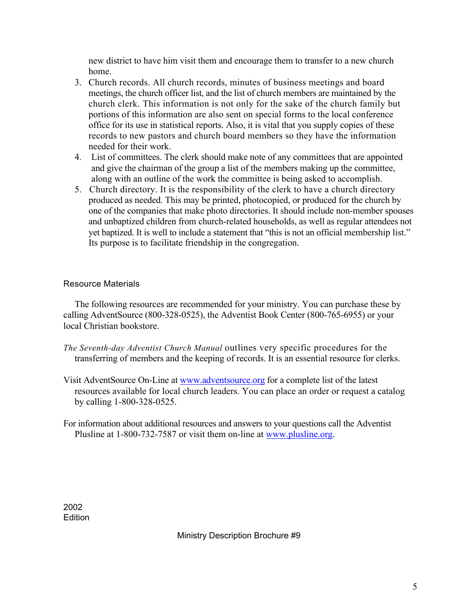new district to have him visit them and encourage them to transfer to a new church home.

- 3. Church records. All church records, minutes of business meetings and board meetings, the church officer list, and the list of church members are maintained by the church clerk. This information is not only for the sake of the church family but portions of this information are also sent on special forms to the local conference office for its use in statistical reports. Also, it is vital that you supply copies of these records to new pastors and church board members so they have the information needed for their work.
- 4. List of committees. The clerk should make note of any committees that are appointed and give the chairman of the group a list of the members making up the committee, along with an outline of the work the committee is being asked to accomplish.
- 5. Church directory. It is the responsibility of the clerk to have a church directory produced as needed. This may be printed, photocopied, or produced for the church by one of the companies that make photo directories. It should include non-member spouses and unbaptized children from church-related households, as well as regular attendees not yet baptized. It is well to include a statement that "this is not an official membership list." Its purpose is to facilitate friendship in the congregation.

#### Resource Materials

The following resources are recommended for your ministry. You can purchase these by calling AdventSource (800-328-0525), the Adventist Book Center (800-765-6955) or your local Christian bookstore.

- *The Seventh-day Adventist Church Manual* outlines very specific procedures for the transferring of members and the keeping of records. It is an essential resource for clerks.
- Visit AdventSource On-Line at www.adventsource.org for a complete list of the latest resources available for local church leaders. You can place an order or request a catalog by calling 1-800-328-0525.
- For information about additional resources and answers to your questions call the Adventist Plusline at 1-800-732-7587 or visit them on-line at www.plusline.org.

2002 **Edition** 

Ministry Description Brochure #9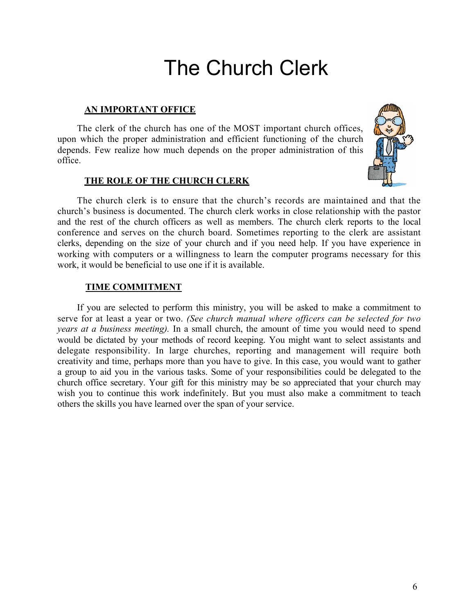## The Church Clerk

#### **AN IMPORTANT OFFICE**

The clerk of the church has one of the MOST important church offices, upon which the proper administration and efficient functioning of the church depends. Few realize how much depends on the proper administration of this office.

#### **THE ROLE OF THE CHURCH CLERK**



The church clerk is to ensure that the church's records are maintained and that the church's business is documented. The church clerk works in close relationship with the pastor and the rest of the church officers as well as members. The church clerk reports to the local conference and serves on the church board. Sometimes reporting to the clerk are assistant clerks, depending on the size of your church and if you need help. If you have experience in working with computers or a willingness to learn the computer programs necessary for this work, it would be beneficial to use one if it is available.

#### **TIME COMMITMENT**

If you are selected to perform this ministry, you will be asked to make a commitment to serve for at least a year or two. *(See church manual where officers can be selected for two years at a business meeting).* In a small church, the amount of time you would need to spend would be dictated by your methods of record keeping. You might want to select assistants and delegate responsibility. In large churches, reporting and management will require both creativity and time, perhaps more than you have to give. In this case, you would want to gather a group to aid you in the various tasks. Some of your responsibilities could be delegated to the church office secretary. Your gift for this ministry may be so appreciated that your church may wish you to continue this work indefinitely. But you must also make a commitment to teach others the skills you have learned over the span of your service.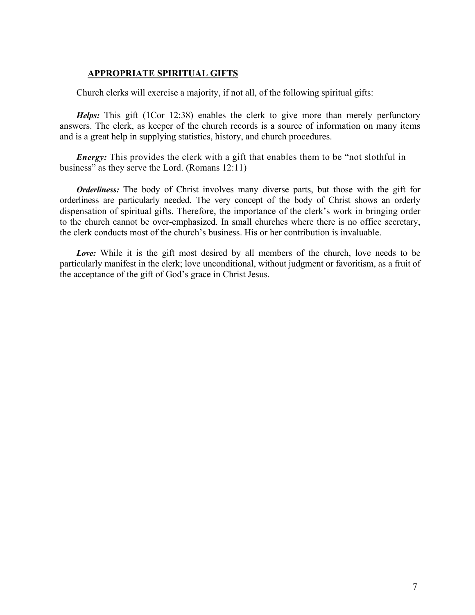#### **APPROPRIATE SPIRITUAL GIFTS**

Church clerks will exercise a majority, if not all, of the following spiritual gifts:

*Helps:* This gift (1Cor 12:38) enables the clerk to give more than merely perfunctory answers. The clerk, as keeper of the church records is a source of information on many items and is a great help in supplying statistics, history, and church procedures.

*Energy*: This provides the clerk with a gift that enables them to be "not slothful in business" as they serve the Lord. (Romans 12:11)

*Orderliness:* The body of Christ involves many diverse parts, but those with the gift for orderliness are particularly needed. The very concept of the body of Christ shows an orderly dispensation of spiritual gifts. Therefore, the importance of the clerk's work in bringing order to the church cannot be over-emphasized. In small churches where there is no office secretary, the clerk conducts most of the church's business. His or her contribution is invaluable.

*Love:* While it is the gift most desired by all members of the church, love needs to be particularly manifest in the clerk; love unconditional, without judgment or favoritism, as a fruit of the acceptance of the gift of God's grace in Christ Jesus.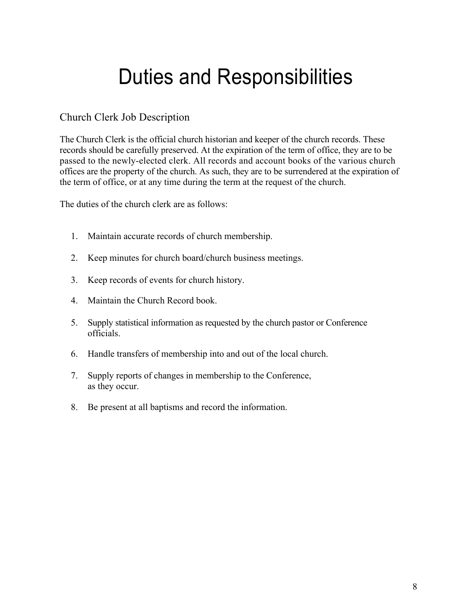# Duties and Responsibilities

#### Church Clerk Job Description

The Church Clerk is the official church historian and keeper of the church records. These records should be carefully preserved. At the expiration of the term of office, they are to be passed to the newly-elected clerk. All records and account books of the various church offices are the property of the church. As such, they are to be surrendered at the expiration of the term of office, or at any time during the term at the request of the church.

The duties of the church clerk are as follows:

- 1. Maintain accurate records of church membership.
- 2. Keep minutes for church board/church business meetings.
- 3. Keep records of events for church history.
- 4. Maintain the Church Record book.
- 5. Supply statistical information as requested by the church pastor or Conference officials.
- 6. Handle transfers of membership into and out of the local church.
- 7. Supply reports of changes in membership to the Conference, as they occur.
- 8. Be present at all baptisms and record the information.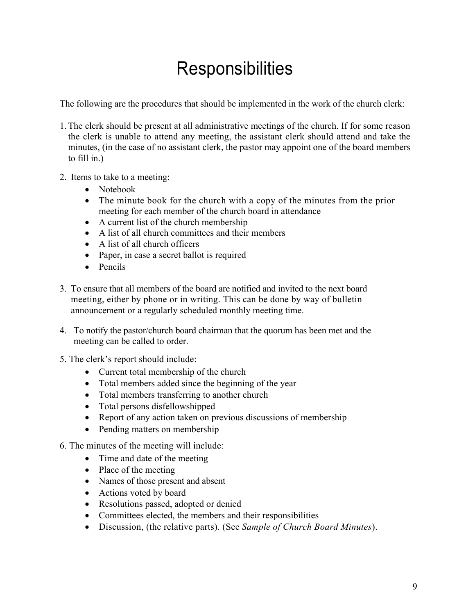### **Responsibilities**

The following are the procedures that should be implemented in the work of the church clerk:

- 1.The clerk should be present at all administrative meetings of the church. If for some reason the clerk is unable to attend any meeting, the assistant clerk should attend and take the minutes, (in the case of no assistant clerk, the pastor may appoint one of the board members to fill in.)
- 2. Items to take to a meeting:
	- Notebook
	- The minute book for the church with a copy of the minutes from the prior meeting for each member of the church board in attendance
	- A current list of the church membership
	- A list of all church committees and their members
	- A list of all church officers
	- Paper, in case a secret ballot is required
	- Pencils
- 3. To ensure that all members of the board are notified and invited to the next board meeting, either by phone or in writing. This can be done by way of bulletin announcement or a regularly scheduled monthly meeting time.
- 4. To notify the pastor/church board chairman that the quorum has been met and the meeting can be called to order.
- 5. The clerk's report should include:
	- Current total membership of the church
	- Total members added since the beginning of the year
	- Total members transferring to another church
	- Total persons disfellowshipped
	- Report of any action taken on previous discussions of membership
	- Pending matters on membership
- 6. The minutes of the meeting will include:
	- Time and date of the meeting
	- Place of the meeting
	- Names of those present and absent
	- Actions voted by board
	- Resolutions passed, adopted or denied
	- Committees elected, the members and their responsibilities
	- Discussion, (the relative parts). (See *Sample of Church Board Minutes*).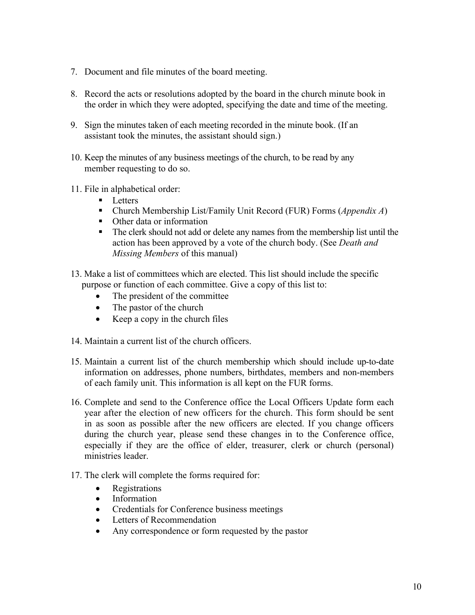- 7. Document and file minutes of the board meeting.
- 8. Record the acts or resolutions adopted by the board in the church minute book in the order in which they were adopted, specifying the date and time of the meeting.
- 9. Sign the minutes taken of each meeting recorded in the minute book. (If an assistant took the minutes, the assistant should sign.)
- 10. Keep the minutes of any business meetings of the church, to be read by any member requesting to do so.
- 11. File in alphabetical order:
	- Letters
	- Church Membership List/Family Unit Record (FUR) Forms (*Appendix A*)
	- Other data or information
	- The clerk should not add or delete any names from the membership list until the action has been approved by a vote of the church body. (See *Death and Missing Members* of this manual)
- 13. Make a list of committees which are elected. This list should include the specific purpose or function of each committee. Give a copy of this list to:
	- The president of the committee
	- The pastor of the church
	- Keep a copy in the church files
- 14. Maintain a current list of the church officers.
- 15. Maintain a current list of the church membership which should include up-to-date information on addresses, phone numbers, birthdates, members and non-members of each family unit. This information is all kept on the FUR forms.
- 16. Complete and send to the Conference office the Local Officers Update form each year after the election of new officers for the church. This form should be sent in as soon as possible after the new officers are elected. If you change officers during the church year, please send these changes in to the Conference office, especially if they are the office of elder, treasurer, clerk or church (personal) ministries leader.
- 17. The clerk will complete the forms required for:
	- Registrations
	- Information
	- Credentials for Conference business meetings
	- Letters of Recommendation
	- Any correspondence or form requested by the pastor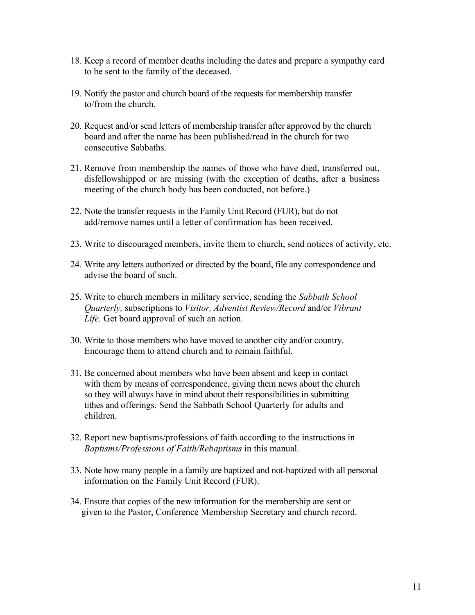- 18. Keep a record of member deaths including the dates and prepare a sympathy card to be sent to the family of the deceased.
- 19. Notify the pastor and church board of the requests for membership transfer to/from the church.
- 20. Request and/or send letters of membership transfer after approved by the church board and after the name has been published/read in the church for two consecutive Sabbaths.
- 21. Remove from membership the names of those who have died, transferred out, disfellowshipped or are missing (with the exception of deaths, after a business meeting of the church body has been conducted, not before.)
- 22. Note the transfer requests in the Family Unit Record (FUR), but do not add/remove names until a letter of confirmation has been received.
- 23. Write to discouraged members, invite them to church, send notices of activity, etc.
- 24. Write any letters authorized or directed by the board, file any correspondence and advise the board of such.
- 25. Write to church members in military service, sending the *Sabbath School Quarterly,* subscriptions to *Visitor, Adventist Review/Record* and/or *Vibrant Life.* Get board approval of such an action.
- 30. Write to those members who have moved to another city and/or country. Encourage them to attend church and to remain faithful.
- 31. Be concerned about members who have been absent and keep in contact with them by means of correspondence, giving them news about the church so they will always have in mind about their responsibilities in submitting tithes and offerings. Send the Sabbath School Quarterly for adults and children.
- 32. Report new baptisms/professions of faith according to the instructions in *Baptisms/Professions of Faith/Rebaptisms* in this manual.
- 33. Note how many people in a family are baptized and not-baptized with all personal information on the Family Unit Record (FUR).
- 34. Ensure that copies of the new information for the membership are sent or given to the Pastor, Conference Membership Secretary and church record.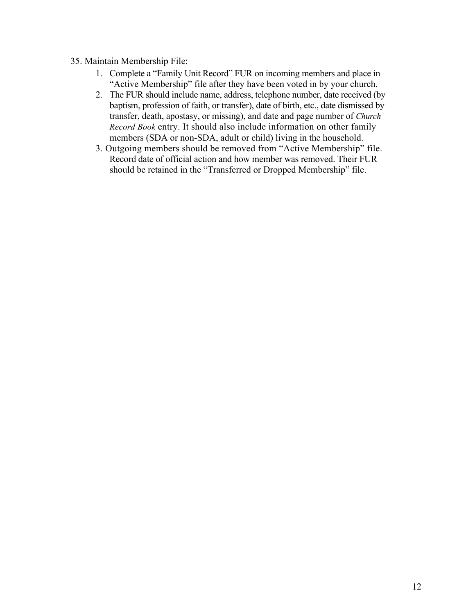#### 35. Maintain Membership File:

- 1. Complete a "Family Unit Record" FUR on incoming members and place in "Active Membership" file after they have been voted in by your church.
- 2. The FUR should include name, address, telephone number, date received (by baptism, profession of faith, or transfer), date of birth, etc., date dismissed by transfer, death, apostasy, or missing), and date and page number of *Church Record Book* entry. It should also include information on other family members (SDA or non-SDA, adult or child) living in the household.
- 3. Outgoing members should be removed from "Active Membership" file. Record date of official action and how member was removed. Their FUR should be retained in the "Transferred or Dropped Membership" file.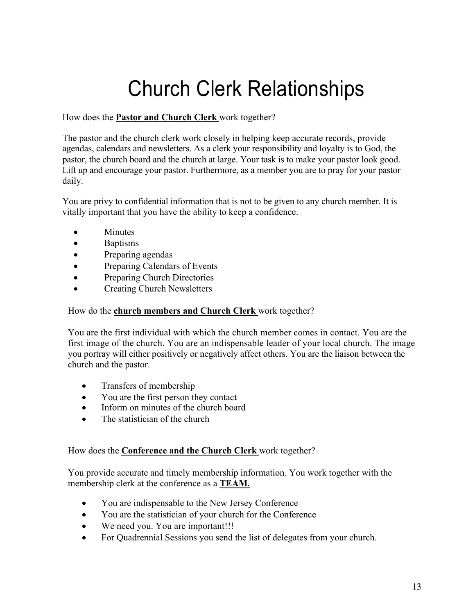# Church Clerk Relationships

#### How does the **Pastor and Church Clerk** work together?

The pastor and the church clerk work closely in helping keep accurate records, provide agendas, calendars and newsletters. As a clerk your responsibility and loyalty is to God, the pastor, the church board and the church at large. Your task is to make your pastor look good. Lift up and encourage your pastor. Furthermore, as a member you are to pray for your pastor daily.

You are privy to confidential information that is not to be given to any church member. It is vitally important that you have the ability to keep a confidence.

- Minutes
- Baptisms
- Preparing agendas
- Preparing Calendars of Events
- Preparing Church Directories
- Creating Church Newsletters

#### How do the **church members and Church Clerk** work together?

You are the first individual with which the church member comes in contact. You are the first image of the church. You are an indispensable leader of your local church. The image you portray will either positively or negatively affect others. You are the liaison between the church and the pastor.

- Transfers of membership
- You are the first person they contact
- Inform on minutes of the church board
- The statistician of the church

#### How does the **Conference and the Church Clerk** work together?

You provide accurate and timely membership information. You work together with the membership clerk at the conference as a **TEAM.**

- You are indispensable to the New Jersey Conference
- You are the statistician of your church for the Conference
- We need you. You are important!!!
- For Quadrennial Sessions you send the list of delegates from your church.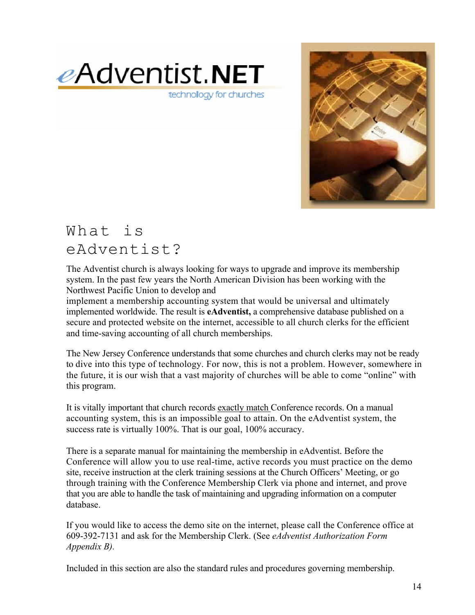

technology for churches



### What is eAdventist?

The Adventist church is always looking for ways to upgrade and improve its membership system. In the past few years the North American Division has been working with the Northwest Pacific Union to develop and

implement a membership accounting system that would be universal and ultimately implemented worldwide. The result is **eAdventist,** a comprehensive database published on a secure and protected website on the internet, accessible to all church clerks for the efficient and time-saving accounting of all church memberships.

The New Jersey Conference understands that some churches and church clerks may not be ready to dive into this type of technology. For now, this is not a problem. However, somewhere in the future, it is our wish that a vast majority of churches will be able to come "online" with this program.

It is vitally important that church records exactly match Conference records. On a manual accounting system, this is an impossible goal to attain. On the eAdventist system, the success rate is virtually 100%. That is our goal, 100% accuracy.

There is a separate manual for maintaining the membership in eAdventist. Before the Conference will allow you to use real-time, active records you must practice on the demo site, receive instruction at the clerk training sessions at the Church Officers' Meeting, or go through training with the Conference Membership Clerk via phone and internet, and prove that you are able to handle the task of maintaining and upgrading information on a computer database.

If you would like to access the demo site on the internet, please call the Conference office at 609-392-7131 and ask for the Membership Clerk. (See *eAdventist Authorization Form Appendix B).*

Included in this section are also the standard rules and procedures governing membership.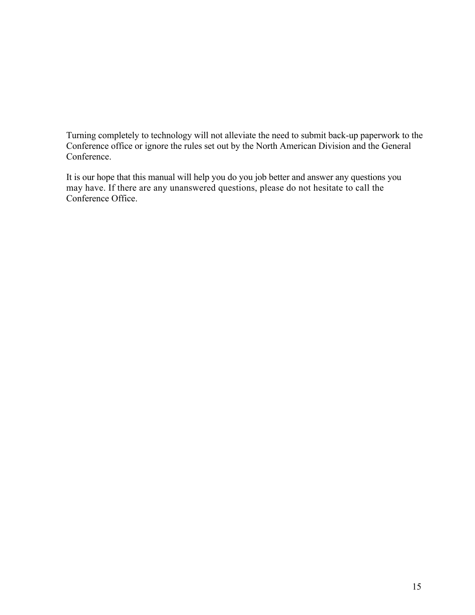Turning completely to technology will not alleviate the need to submit back-up paperwork to the Conference office or ignore the rules set out by the North American Division and the General Conference.

It is our hope that this manual will help you do you job better and answer any questions you may have. If there are any unanswered questions, please do not hesitate to call the Conference Office.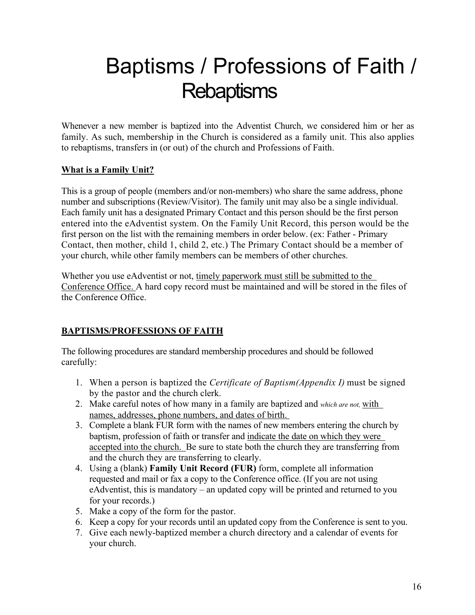# Baptisms / Professions of Faith / **Rebaptisms**

Whenever a new member is baptized into the Adventist Church, we considered him or her as family. As such, membership in the Church is considered as a family unit. This also applies to rebaptisms, transfers in (or out) of the church and Professions of Faith.

#### **What is a Family Unit?**

This is a group of people (members and/or non-members) who share the same address, phone number and subscriptions (Review/Visitor). The family unit may also be a single individual. Each family unit has a designated Primary Contact and this person should be the first person entered into the eAdventist system. On the Family Unit Record, this person would be the first person on the list with the remaining members in order below. (ex: Father - Primary Contact, then mother, child 1, child 2, etc.) The Primary Contact should be a member of your church, while other family members can be members of other churches.

Whether you use eAdventist or not, timely paperwork must still be submitted to the Conference Office. A hard copy record must be maintained and will be stored in the files of the Conference Office.

#### **BAPTISMS/PROFESSIONS OF FAITH**

The following procedures are standard membership procedures and should be followed carefully:

- 1. When a person is baptized the *Certificate of Baptism(Appendix I)* must be signed by the pastor and the church clerk.
- 2. Make careful notes of how many in a family are baptized and *which are not,* with names, addresses, phone numbers, and dates of birth.
- 3. Complete a blank FUR form with the names of new members entering the church by baptism, profession of faith or transfer and indicate the date on which they were accepted into the church. Be sure to state both the church they are transferring from and the church they are transferring to clearly.
- 4. Using a (blank) **Family Unit Record (FUR)** form, complete all information requested and mail or fax a copy to the Conference office. (If you are not using eAdventist, this is mandatory – an updated copy will be printed and returned to you for your records.)
- 5. Make a copy of the form for the pastor.
- 6. Keep a copy for your records until an updated copy from the Conference is sent to you.
- 7. Give each newly-baptized member a church directory and a calendar of events for your church.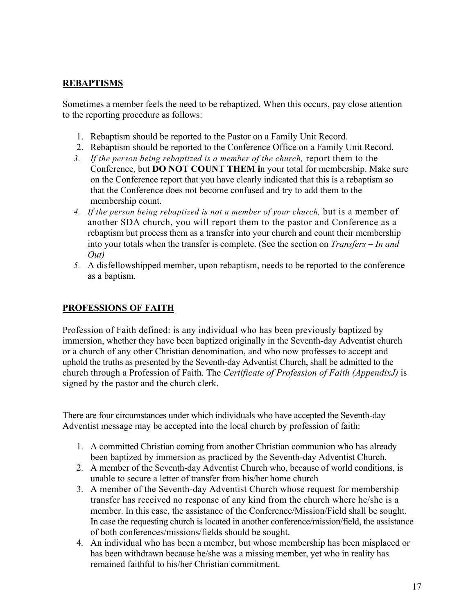#### **REBAPTISMS**

Sometimes a member feels the need to be rebaptized. When this occurs, pay close attention to the reporting procedure as follows:

- 1. Rebaptism should be reported to the Pastor on a Family Unit Record.
- 2. Rebaptism should be reported to the Conference Office on a Family Unit Record.
- *3. If the person being rebaptized is a member of the church,* report them to the Conference, but **DO NOT COUNT THEM i**n your total for membership. Make sure on the Conference report that you have clearly indicated that this is a rebaptism so that the Conference does not become confused and try to add them to the membership count.
- *4. If the person being rebaptized is not a member of your church,* but is a member of another SDA church, you will report them to the pastor and Conference as a rebaptism but process them as a transfer into your church and count their membership into your totals when the transfer is complete. (See the section on *Transfers – In and Out)*
- *5.* A disfellowshipped member, upon rebaptism, needs to be reported to the conference as a baptism.

#### **PROFESSIONS OF FAITH**

Profession of Faith defined: is any individual who has been previously baptized by immersion, whether they have been baptized originally in the Seventh-day Adventist church or a church of any other Christian denomination, and who now professes to accept and uphold the truths as presented by the Seventh-day Adventist Church, shall be admitted to the church through a Profession of Faith. The *Certificate of Profession of Faith (AppendixJ)* is signed by the pastor and the church clerk.

There are four circumstances under which individuals who have accepted the Seventh-day Adventist message may be accepted into the local church by profession of faith:

- 1. A committed Christian coming from another Christian communion who has already been baptized by immersion as practiced by the Seventh-day Adventist Church.
- 2. A member of the Seventh-day Adventist Church who, because of world conditions, is unable to secure a letter of transfer from his/her home church
- 3. A member of the Seventh-day Adventist Church whose request for membership transfer has received no response of any kind from the church where he/she is a member. In this case, the assistance of the Conference/Mission/Field shall be sought. In case the requesting church is located in another conference/mission/field, the assistance of both conferences/missions/fields should be sought.
- 4. An individual who has been a member, but whose membership has been misplaced or has been withdrawn because he/she was a missing member, yet who in reality has remained faithful to his/her Christian commitment.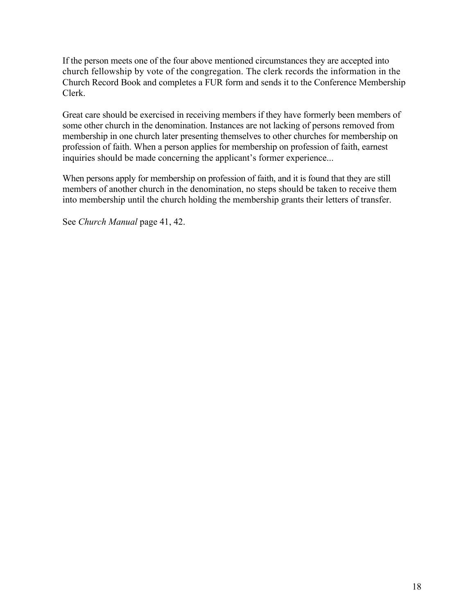If the person meets one of the four above mentioned circumstances they are accepted into church fellowship by vote of the congregation. The clerk records the information in the Church Record Book and completes a FUR form and sends it to the Conference Membership Clerk.

Great care should be exercised in receiving members if they have formerly been members of some other church in the denomination. Instances are not lacking of persons removed from membership in one church later presenting themselves to other churches for membership on profession of faith. When a person applies for membership on profession of faith, earnest inquiries should be made concerning the applicant's former experience...

When persons apply for membership on profession of faith, and it is found that they are still members of another church in the denomination, no steps should be taken to receive them into membership until the church holding the membership grants their letters of transfer.

See *Church Manual* page 41, 42.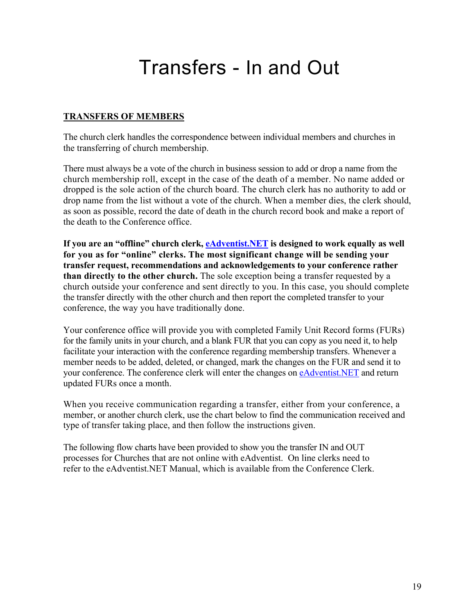### Transfers - In and Out

#### **TRANSFERS OF MEMBERS**

The church clerk handles the correspondence between individual members and churches in the transferring of church membership.

There must always be a vote of the church in business session to add or drop a name from the church membership roll, except in the case of the death of a member. No name added or dropped is the sole action of the church board. The church clerk has no authority to add or drop name from the list without a vote of the church. When a member dies, the clerk should, as soon as possible, record the date of death in the church record book and make a report of the death to the Conference office.

**If you are an "offline" church clerk, eAdventist.NET is designed to work equally as well for you as for "online" clerks. The most significant change will be sending your transfer request, recommendations and acknowledgements to your conference rather than directly to the other church.** The sole exception being a transfer requested by a church outside your conference and sent directly to you. In this case, you should complete the transfer directly with the other church and then report the completed transfer to your conference, the way you have traditionally done.

Your conference office will provide you with completed Family Unit Record forms (FURs) for the family units in your church, and a blank FUR that you can copy as you need it, to help facilitate your interaction with the conference regarding membership transfers. Whenever a member needs to be added, deleted, or changed, mark the changes on the FUR and send it to your conference. The conference clerk will enter the changes on eAdventist.NET and return updated FURs once a month.

When you receive communication regarding a transfer, either from your conference, a member, or another church clerk, use the chart below to find the communication received and type of transfer taking place, and then follow the instructions given.

The following flow charts have been provided to show you the transfer IN and OUT processes for Churches that are not online with eAdventist. On line clerks need to refer to the eAdventist.NET Manual, which is available from the Conference Clerk.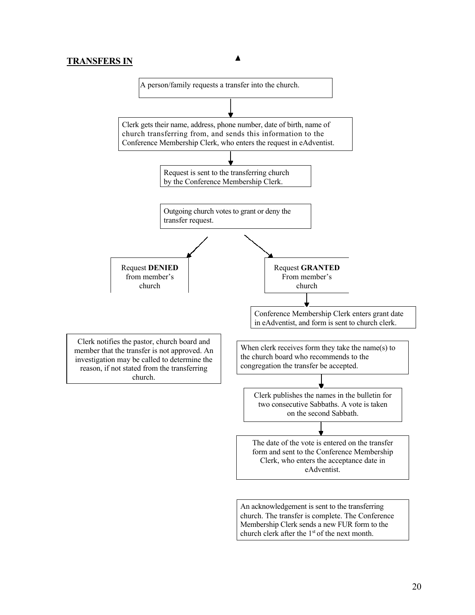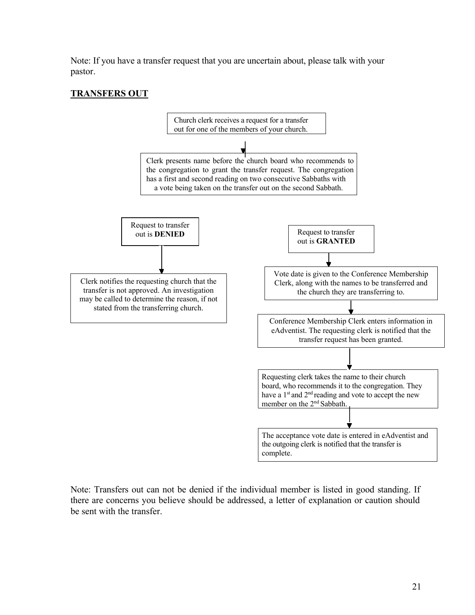Note: If you have a transfer request that you are uncertain about, please talk with your pastor.

#### **TRANSFERS OUT**



Note: Transfers out can not be denied if the individual member is listed in good standing. If there are concerns you believe should be addressed, a letter of explanation or caution should be sent with the transfer.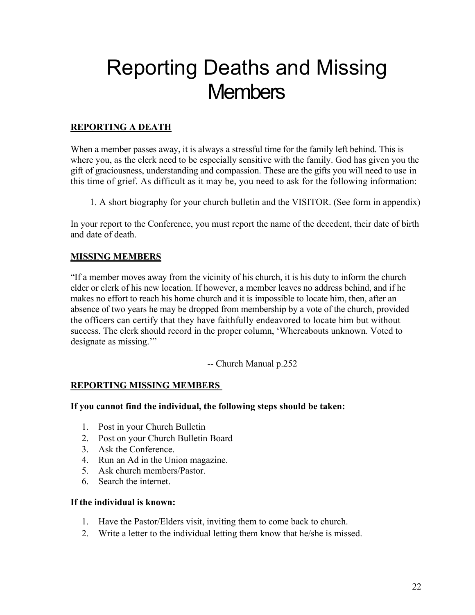# Reporting Deaths and Missing **Members**

#### **REPORTING A DEATH**

When a member passes away, it is always a stressful time for the family left behind. This is where you, as the clerk need to be especially sensitive with the family. God has given you the gift of graciousness, understanding and compassion. These are the gifts you will need to use in this time of grief. As difficult as it may be, you need to ask for the following information:

1. A short biography for your church bulletin and the VISITOR. (See form in appendix)

In your report to the Conference, you must report the name of the decedent, their date of birth and date of death.

#### **MISSING MEMBERS**

"If a member moves away from the vicinity of his church, it is his duty to inform the church elder or clerk of his new location. If however, a member leaves no address behind, and if he makes no effort to reach his home church and it is impossible to locate him, then, after an absence of two years he may be dropped from membership by a vote of the church, provided the officers can certify that they have faithfully endeavored to locate him but without success. The clerk should record in the proper column, 'Whereabouts unknown. Voted to designate as missing."

-- Church Manual p.252

#### **REPORTING MISSING MEMBERS**

#### **If you cannot find the individual, the following steps should be taken:**

- 1. Post in your Church Bulletin
- 2. Post on your Church Bulletin Board
- 3. Ask the Conference.
- 4. Run an Ad in the Union magazine.
- 5. Ask church members/Pastor.
- 6. Search the internet.

#### **If the individual is known:**

- 1. Have the Pastor/Elders visit, inviting them to come back to church.
- 2. Write a letter to the individual letting them know that he/she is missed.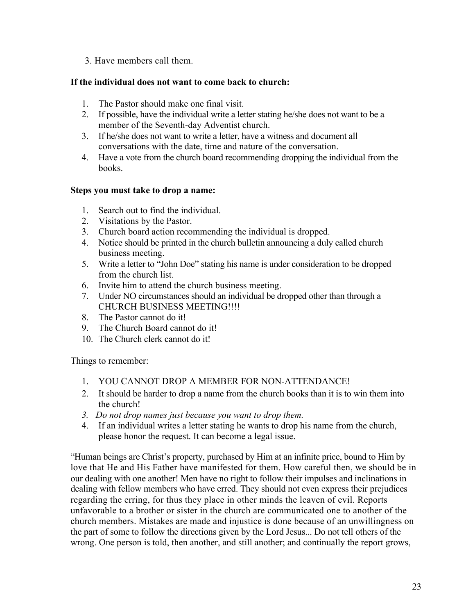3. Have members call them.

#### **If the individual does not want to come back to church:**

- 1. The Pastor should make one final visit.
- 2. If possible, have the individual write a letter stating he/she does not want to be a member of the Seventh-day Adventist church.
- 3. If he/she does not want to write a letter, have a witness and document all conversations with the date, time and nature of the conversation.
- 4. Have a vote from the church board recommending dropping the individual from the books.

#### **Steps you must take to drop a name:**

- 1. Search out to find the individual.
- 2. Visitations by the Pastor.
- 3. Church board action recommending the individual is dropped.
- 4. Notice should be printed in the church bulletin announcing a duly called church business meeting.
- 5. Write a letter to "John Doe" stating his name is under consideration to be dropped from the church list.
- 6. Invite him to attend the church business meeting.
- 7. Under NO circumstances should an individual be dropped other than through a CHURCH BUSINESS MEETING!!!!
- 8. The Pastor cannot do it!
- 9. The Church Board cannot do it!
- 10. The Church clerk cannot do it!

Things to remember:

- 1. YOU CANNOT DROP A MEMBER FOR NON-ATTENDANCE!
- 2. It should be harder to drop a name from the church books than it is to win them into the church!
- *3. Do not drop names just because you want to drop them.*
- 4. If an individual writes a letter stating he wants to drop his name from the church, please honor the request. It can become a legal issue.

"Human beings are Christ's property, purchased by Him at an infinite price, bound to Him by love that He and His Father have manifested for them. How careful then, we should be in our dealing with one another! Men have no right to follow their impulses and inclinations in dealing with fellow members who have erred. They should not even express their prejudices regarding the erring, for thus they place in other minds the leaven of evil. Reports unfavorable to a brother or sister in the church are communicated one to another of the church members. Mistakes are made and injustice is done because of an unwillingness on the part of some to follow the directions given by the Lord Jesus... Do not tell others of the wrong. One person is told, then another, and still another; and continually the report grows,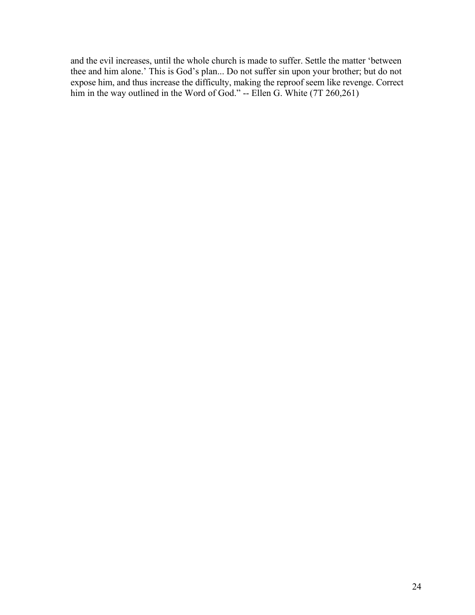and the evil increases, until the whole church is made to suffer. Settle the matter 'between thee and him alone.' This is God's plan... Do not suffer sin upon your brother; but do not expose him, and thus increase the difficulty, making the reproof seem like revenge. Correct him in the way outlined in the Word of God." -- Ellen G. White (7T 260,261)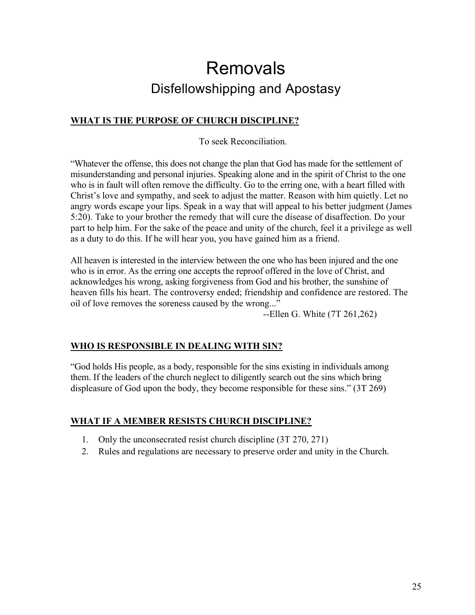### Removals Disfellowshipping and Apostasy

#### **WHAT IS THE PURPOSE OF CHURCH DISCIPLINE?**

To seek Reconciliation.

"Whatever the offense, this does not change the plan that God has made for the settlement of misunderstanding and personal injuries. Speaking alone and in the spirit of Christ to the one who is in fault will often remove the difficulty. Go to the erring one, with a heart filled with Christ's love and sympathy, and seek to adjust the matter. Reason with him quietly. Let no angry words escape your lips. Speak in a way that will appeal to his better judgment (James 5:20). Take to your brother the remedy that will cure the disease of disaffection. Do your part to help him. For the sake of the peace and unity of the church, feel it a privilege as well as a duty to do this. If he will hear you, you have gained him as a friend.

All heaven is interested in the interview between the one who has been injured and the one who is in error. As the erring one accepts the reproof offered in the love of Christ, and acknowledges his wrong, asking forgiveness from God and his brother, the sunshine of heaven fills his heart. The controversy ended; friendship and confidence are restored. The oil of love removes the soreness caused by the wrong..."

--Ellen G. White (7T 261,262)

#### **WHO IS RESPONSIBLE IN DEALING WITH SIN?**

"God holds His people, as a body, responsible for the sins existing in individuals among them. If the leaders of the church neglect to diligently search out the sins which bring displeasure of God upon the body, they become responsible for these sins." (3T 269)

#### **WHAT IF A MEMBER RESISTS CHURCH DISCIPLINE?**

- 1. Only the unconsecrated resist church discipline (3T 270, 271)
- 2. Rules and regulations are necessary to preserve order and unity in the Church.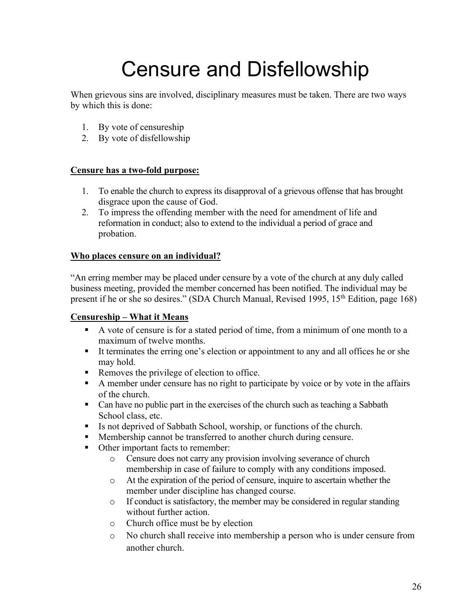# Censure and Disfellowship

When grievous sins are involved, disciplinary measures must be taken. There are two ways by which this is done:

- 1. By vote of censureship
- 2. By vote of disfellowship

#### **Censure has a two-fold purpose:**

- 1. To enable the church to express its disapproval of a grievous offense that has brought disgrace upon the cause of God.
- 2. To impress the offending member with the need for amendment of life and reformation in conduct; also to extend to the individual a period of grace and probation.

#### **Who places censure on an individual?**

"An erring member may be placed under censure by a vote of the church at any duly called business meeting, provided the member concerned has been notified. The individual may be present if he or she so desires." (SDA Church Manual, Revised 1995, 15<sup>th</sup> Edition, page 168)

#### **Censureship – What it Means**

- § A vote of censure is for a stated period of time, from a minimum of one month to a maximum of twelve months.
- § It terminates the erring one's election or appointment to any and all offices he or she may hold.
- Removes the privilege of election to office.
- § A member under censure has no right to participate by voice or by vote in the affairs of the church.
- Can have no public part in the exercises of the church such as teaching a Sabbath School class, etc.
- Is not deprived of Sabbath School, worship, or functions of the church.
- § Membership cannot be transferred to another church during censure.
- Other important facts to remember:
	- o Censure does not carry any provision involving severance of church membership in case of failure to comply with any conditions imposed.
	- o At the expiration of the period of censure, inquire to ascertain whether the member under discipline has changed course.
	- o If conduct is satisfactory, the member may be considered in regular standing without further action.
	- o Church office must be by election
	- o No church shall receive into membership a person who is under censure from another church.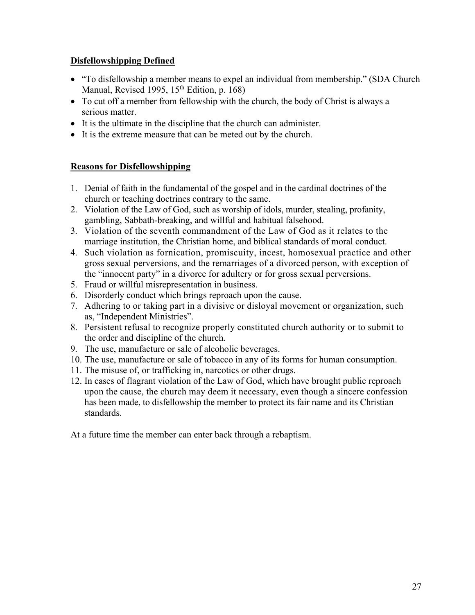#### **Disfellowshipping Defined**

- "To disfellowship a member means to expel an individual from membership." (SDA Church Manual, Revised 1995, 15<sup>th</sup> Edition, p. 168)
- To cut off a member from fellowship with the church, the body of Christ is always a serious matter.
- It is the ultimate in the discipline that the church can administer.
- It is the extreme measure that can be meted out by the church.

#### **Reasons for Disfellowshipping**

- 1. Denial of faith in the fundamental of the gospel and in the cardinal doctrines of the church or teaching doctrines contrary to the same.
- 2. Violation of the Law of God, such as worship of idols, murder, stealing, profanity, gambling, Sabbath-breaking, and willful and habitual falsehood.
- 3. Violation of the seventh commandment of the Law of God as it relates to the marriage institution, the Christian home, and biblical standards of moral conduct.
- 4. Such violation as fornication, promiscuity, incest, homosexual practice and other gross sexual perversions, and the remarriages of a divorced person, with exception of the "innocent party" in a divorce for adultery or for gross sexual perversions.
- 5. Fraud or willful misrepresentation in business.
- 6. Disorderly conduct which brings reproach upon the cause.
- 7. Adhering to or taking part in a divisive or disloyal movement or organization, such as, "Independent Ministries".
- 8. Persistent refusal to recognize properly constituted church authority or to submit to the order and discipline of the church.
- 9. The use, manufacture or sale of alcoholic beverages.
- 10. The use, manufacture or sale of tobacco in any of its forms for human consumption.
- 11. The misuse of, or trafficking in, narcotics or other drugs.
- 12. In cases of flagrant violation of the Law of God, which have brought public reproach upon the cause, the church may deem it necessary, even though a sincere confession has been made, to disfellowship the member to protect its fair name and its Christian standards.

At a future time the member can enter back through a rebaptism.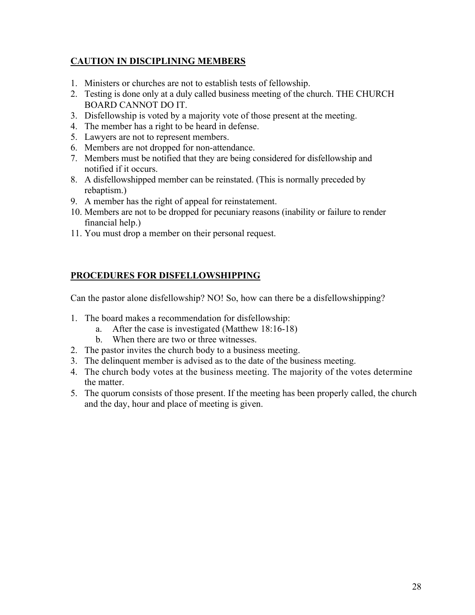#### **CAUTION IN DISCIPLINING MEMBERS**

- 1. Ministers or churches are not to establish tests of fellowship.
- 2. Testing is done only at a duly called business meeting of the church. THE CHURCH BOARD CANNOT DO IT.
- 3. Disfellowship is voted by a majority vote of those present at the meeting.
- 4. The member has a right to be heard in defense.
- 5. Lawyers are not to represent members.
- 6. Members are not dropped for non-attendance.
- 7. Members must be notified that they are being considered for disfellowship and notified if it occurs.
- 8. A disfellowshipped member can be reinstated. (This is normally preceded by rebaptism.)
- 9. A member has the right of appeal for reinstatement.
- 10. Members are not to be dropped for pecuniary reasons (inability or failure to render financial help.)
- 11. You must drop a member on their personal request.

#### **PROCEDURES FOR DISFELLOWSHIPPING**

Can the pastor alone disfellowship? NO! So, how can there be a disfellowshipping?

- 1. The board makes a recommendation for disfellowship:
	- a. After the case is investigated (Matthew 18:16-18)
	- b. When there are two or three witnesses.
- 2. The pastor invites the church body to a business meeting.
- 3. The delinquent member is advised as to the date of the business meeting.
- 4. The church body votes at the business meeting. The majority of the votes determine the matter.
- 5. The quorum consists of those present. If the meeting has been properly called, the church and the day, hour and place of meeting is given.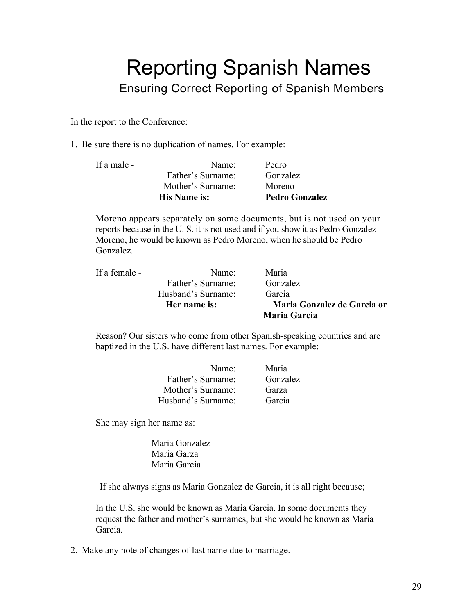### Reporting Spanish Names Ensuring Correct Reporting of Spanish Members

In the report to the Conference:

1. Be sure there is no duplication of names. For example:

|             | <b>His Name is:</b> | <b>Pedro Gonzalez</b> |
|-------------|---------------------|-----------------------|
|             | Mother's Surname:   | Moreno                |
|             | Father's Surname:   | Gonzalez              |
| If a male - | Name:               | Pedro                 |
|             |                     |                       |

Moreno appears separately on some documents, but is not used on your reports because in the U. S. it is not used and if you show it as Pedro Gonzalez Moreno, he would be known as Pedro Moreno, when he should be Pedro Gonzalez.

|               |                    | Maria Garcia                |
|---------------|--------------------|-----------------------------|
|               | Her name is:       | Maria Gonzalez de Garcia or |
|               | Husband's Surname: | Garcia                      |
|               | Father's Surname:  | <b>Gonzalez</b>             |
| If a female - | Name:              | Maria                       |

Reason? Our sisters who come from other Spanish-speaking countries and are baptized in the U.S. have different last names. For example:

| Name:              | Maria    |
|--------------------|----------|
| Father's Surname:  | Gonzalez |
| Mother's Surname:  | Garza    |
| Husband's Surname: | Garcia   |

She may sign her name as:

Maria Gonzalez Maria Garza Maria Garcia

If she always signs as Maria Gonzalez de Garcia, it is all right because;

In the U.S. she would be known as Maria Garcia. In some documents they request the father and mother's surnames, but she would be known as Maria Garcia.

2. Make any note of changes of last name due to marriage.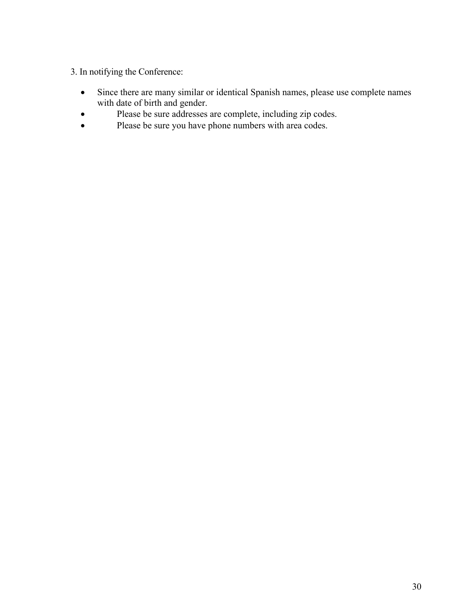#### 3. In notifying the Conference:

- Since there are many similar or identical Spanish names, please use complete names with date of birth and gender.
- Please be sure addresses are complete, including zip codes.
- Please be sure you have phone numbers with area codes.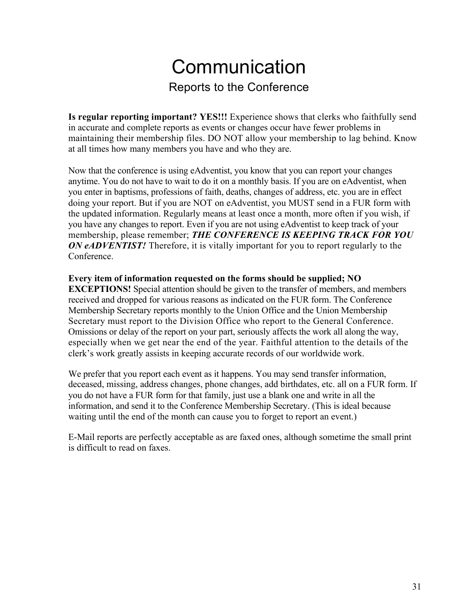### **Communication** Reports to the Conference

**Is regular reporting important? YES!!!** Experience shows that clerks who faithfully send in accurate and complete reports as events or changes occur have fewer problems in maintaining their membership files. DO NOT allow your membership to lag behind. Know at all times how many members you have and who they are.

Now that the conference is using eAdventist, you know that you can report your changes anytime. You do not have to wait to do it on a monthly basis. If you are on eAdventist, when you enter in baptisms, professions of faith, deaths, changes of address, etc. you are in effect doing your report. But if you are NOT on eAdventist, you MUST send in a FUR form with the updated information. Regularly means at least once a month, more often if you wish, if you have any changes to report. Even if you are not using eAdventist to keep track of your membership, please remember; *THE CONFERENCE IS KEEPING TRACK FOR YOU ON eADVENTIST!* Therefore, it is vitally important for you to report regularly to the Conference.

#### **Every item of information requested on the forms should be supplied; NO**

**EXCEPTIONS!** Special attention should be given to the transfer of members, and members received and dropped for various reasons as indicated on the FUR form. The Conference Membership Secretary reports monthly to the Union Office and the Union Membership Secretary must report to the Division Office who report to the General Conference. Omissions or delay of the report on your part, seriously affects the work all along the way, especially when we get near the end of the year. Faithful attention to the details of the clerk's work greatly assists in keeping accurate records of our worldwide work.

We prefer that you report each event as it happens. You may send transfer information, deceased, missing, address changes, phone changes, add birthdates, etc. all on a FUR form. If you do not have a FUR form for that family, just use a blank one and write in all the information, and send it to the Conference Membership Secretary. (This is ideal because waiting until the end of the month can cause you to forget to report an event.)

E-Mail reports are perfectly acceptable as are faxed ones, although sometime the small print is difficult to read on faxes.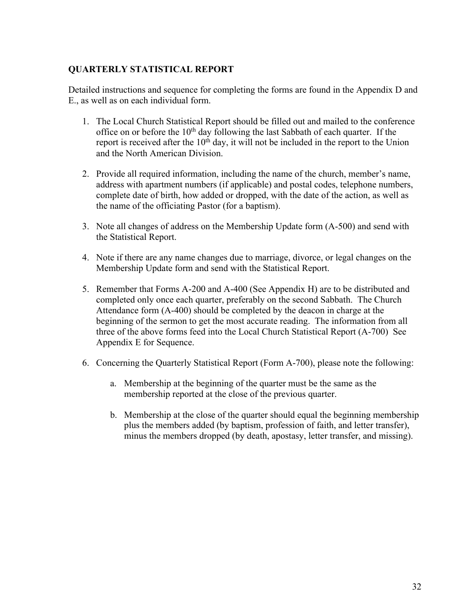#### **QUARTERLY STATISTICAL REPORT**

Detailed instructions and sequence for completing the forms are found in the Appendix D and E., as well as on each individual form.

- 1. The Local Church Statistical Report should be filled out and mailed to the conference office on or before the  $10<sup>th</sup>$  day following the last Sabbath of each quarter. If the report is received after the  $10<sup>th</sup>$  day, it will not be included in the report to the Union and the North American Division.
- 2. Provide all required information, including the name of the church, member's name, address with apartment numbers (if applicable) and postal codes, telephone numbers, complete date of birth, how added or dropped, with the date of the action, as well as the name of the officiating Pastor (for a baptism).
- 3. Note all changes of address on the Membership Update form (A-500) and send with the Statistical Report.
- 4. Note if there are any name changes due to marriage, divorce, or legal changes on the Membership Update form and send with the Statistical Report.
- 5. Remember that Forms A-200 and A-400 (See Appendix H) are to be distributed and completed only once each quarter, preferably on the second Sabbath. The Church Attendance form (A-400) should be completed by the deacon in charge at the beginning of the sermon to get the most accurate reading. The information from all three of the above forms feed into the Local Church Statistical Report (A-700) See Appendix E for Sequence.
- 6. Concerning the Quarterly Statistical Report (Form A-700), please note the following:
	- a. Membership at the beginning of the quarter must be the same as the membership reported at the close of the previous quarter.
	- b. Membership at the close of the quarter should equal the beginning membership plus the members added (by baptism, profession of faith, and letter transfer), minus the members dropped (by death, apostasy, letter transfer, and missing).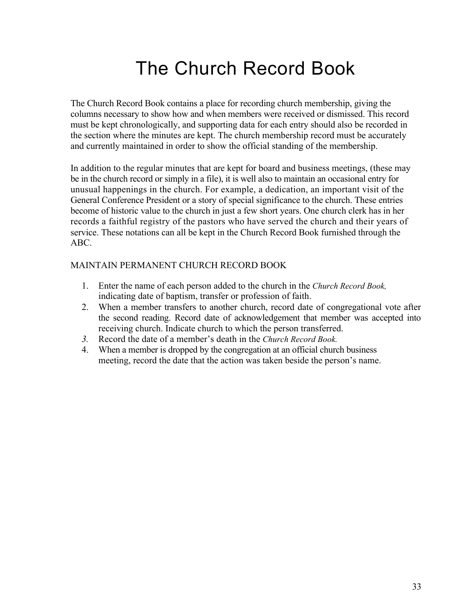### The Church Record Book

The Church Record Book contains a place for recording church membership, giving the columns necessary to show how and when members were received or dismissed. This record must be kept chronologically, and supporting data for each entry should also be recorded in the section where the minutes are kept. The church membership record must be accurately and currently maintained in order to show the official standing of the membership.

In addition to the regular minutes that are kept for board and business meetings, (these may be in the church record or simply in a file), it is well also to maintain an occasional entry for unusual happenings in the church. For example, a dedication, an important visit of the General Conference President or a story of special significance to the church. These entries become of historic value to the church in just a few short years. One church clerk has in her records a faithful registry of the pastors who have served the church and their years of service. These notations can all be kept in the Church Record Book furnished through the ABC.

#### MAINTAIN PERMANENT CHURCH RECORD BOOK

- 1. Enter the name of each person added to the church in the *Church Record Book,*  indicating date of baptism, transfer or profession of faith.
- 2. When a member transfers to another church, record date of congregational vote after the second reading. Record date of acknowledgement that member was accepted into receiving church. Indicate church to which the person transferred.
- *3.* Record the date of a member's death in the *Church Record Book.*
- 4. When a member is dropped by the congregation at an official church business meeting, record the date that the action was taken beside the person's name.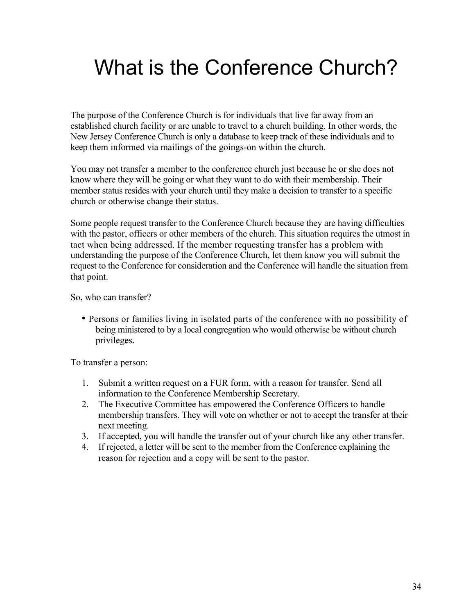# What is the Conference Church?

The purpose of the Conference Church is for individuals that live far away from an established church facility or are unable to travel to a church building. In other words, the New Jersey Conference Church is only a database to keep track of these individuals and to keep them informed via mailings of the goings-on within the church.

You may not transfer a member to the conference church just because he or she does not know where they will be going or what they want to do with their membership. Their member status resides with your church until they make a decision to transfer to a specific church or otherwise change their status.

Some people request transfer to the Conference Church because they are having difficulties with the pastor, officers or other members of the church. This situation requires the utmost in tact when being addressed. If the member requesting transfer has a problem with understanding the purpose of the Conference Church, let them know you will submit the request to the Conference for consideration and the Conference will handle the situation from that point.

So, who can transfer?

• Persons or families living in isolated parts of the conference with no possibility of being ministered to by a local congregation who would otherwise be without church privileges.

To transfer a person:

- 1. Submit a written request on a FUR form, with a reason for transfer. Send all information to the Conference Membership Secretary.
- 2. The Executive Committee has empowered the Conference Officers to handle membership transfers. They will vote on whether or not to accept the transfer at their next meeting.
- 3. If accepted, you will handle the transfer out of your church like any other transfer.
- 4. If rejected, a letter will be sent to the member from the Conference explaining the reason for rejection and a copy will be sent to the pastor.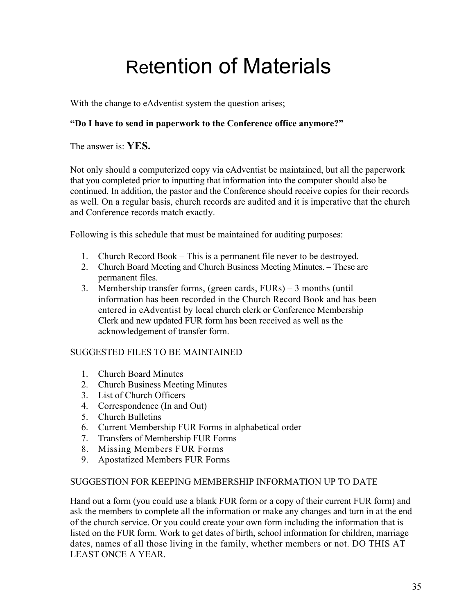# Retention of Materials

With the change to eAdventist system the question arises;

#### **"Do I have to send in paperwork to the Conference office anymore?"**

The answer is: **YES.**

Not only should a computerized copy via eAdventist be maintained, but all the paperwork that you completed prior to inputting that information into the computer should also be continued. In addition, the pastor and the Conference should receive copies for their records as well. On a regular basis, church records are audited and it is imperative that the church and Conference records match exactly.

Following is this schedule that must be maintained for auditing purposes:

- 1. Church Record Book This is a permanent file never to be destroyed.
- 2. Church Board Meeting and Church Business Meeting Minutes. These are permanent files.
- 3. Membership transfer forms, (green cards, FURs) 3 months (until information has been recorded in the Church Record Book and has been entered in eAdventist by local church clerk or Conference Membership Clerk and new updated FUR form has been received as well as the acknowledgement of transfer form.

#### SUGGESTED FILES TO BE MAINTAINED

- 1. Church Board Minutes
- 2. Church Business Meeting Minutes
- 3. List of Church Officers
- 4. Correspondence (In and Out)
- 5. Church Bulletins
- 6. Current Membership FUR Forms in alphabetical order
- 7. Transfers of Membership FUR Forms
- 8. Missing Members FUR Forms
- 9. Apostatized Members FUR Forms

#### SUGGESTION FOR KEEPING MEMBERSHIP INFORMATION UP TO DATE

Hand out a form (you could use a blank FUR form or a copy of their current FUR form) and ask the members to complete all the information or make any changes and turn in at the end of the church service. Or you could create your own form including the information that is listed on the FUR form. Work to get dates of birth, school information for children, marriage dates, names of all those living in the family, whether members or not. DO THIS AT LEAST ONCE A YEAR.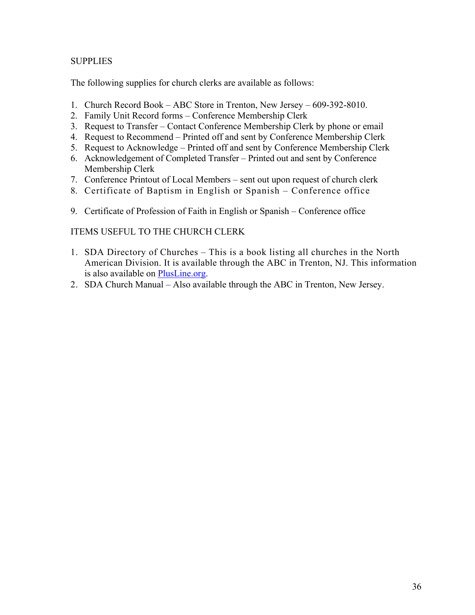#### **SUPPLIES**

The following supplies for church clerks are available as follows:

- 1. Church Record Book ABC Store in Trenton, New Jersey 609-392-8010.
- 2. Family Unit Record forms Conference Membership Clerk
- 3. Request to Transfer Contact Conference Membership Clerk by phone or email
- 4. Request to Recommend Printed off and sent by Conference Membership Clerk
- 5. Request to Acknowledge Printed off and sent by Conference Membership Clerk
- 6. Acknowledgement of Completed Transfer Printed out and sent by Conference Membership Clerk
- 7. Conference Printout of Local Members sent out upon request of church clerk
- 8. Certificate of Baptism in English or Spanish Conference office
- 9. Certificate of Profession of Faith in English or Spanish Conference office

#### ITEMS USEFUL TO THE CHURCH CLERK

- 1. SDA Directory of Churches This is a book listing all churches in the North American Division. It is available through the ABC in Trenton, NJ. This information is also available on PlusLine.org.
- 2. SDA Church Manual Also available through the ABC in Trenton, New Jersey.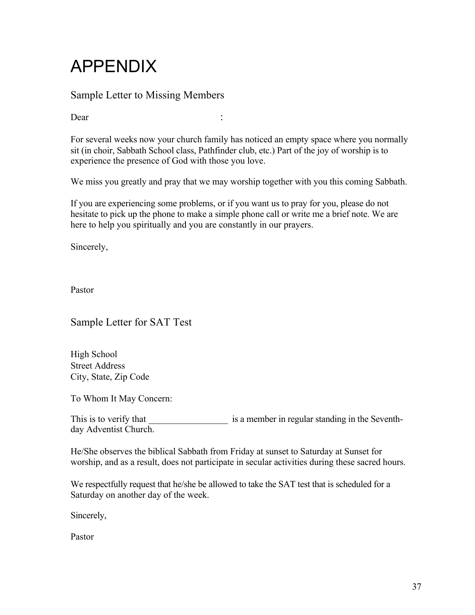### APPENDIX

#### Sample Letter to Missing Members

Dear :

For several weeks now your church family has noticed an empty space where you normally sit (in choir, Sabbath School class, Pathfinder club, etc.) Part of the joy of worship is to experience the presence of God with those you love.

We miss you greatly and pray that we may worship together with you this coming Sabbath.

If you are experiencing some problems, or if you want us to pray for you, please do not hesitate to pick up the phone to make a simple phone call or write me a brief note. We are here to help you spiritually and you are constantly in our prayers.

Sincerely,

Pastor

Sample Letter for SAT Test

High School Street Address City, State, Zip Code

To Whom It May Concern:

This is to verify that is a member in regular standing in the Seventhday Adventist Church.

He/She observes the biblical Sabbath from Friday at sunset to Saturday at Sunset for worship, and as a result, does not participate in secular activities during these sacred hours.

We respectfully request that he/she be allowed to take the SAT test that is scheduled for a Saturday on another day of the week.

Sincerely,

Pastor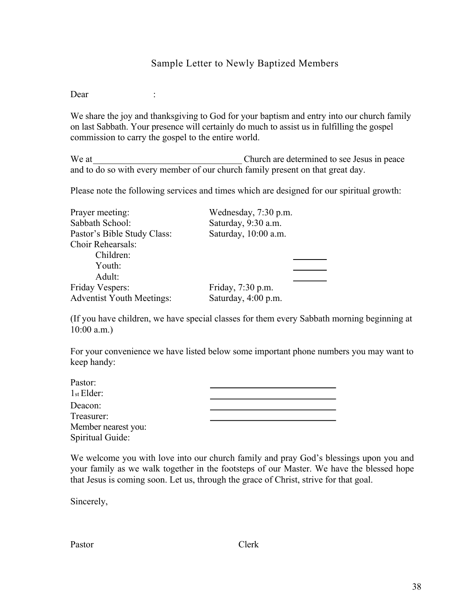#### Sample Letter to Newly Baptized Members

Dear :

We share the joy and thanksgiving to God for your baptism and entry into our church family on last Sabbath. Your presence will certainly do much to assist us in fulfilling the gospel commission to carry the gospel to the entire world.

We at The Church are determined to see Jesus in peace and to do so with every member of our church family present on that great day.

Please note the following services and times which are designed for our spiritual growth:

| Prayer meeting:                  | Wednesday, 7:30 p.m. |
|----------------------------------|----------------------|
| Sabbath School:                  | Saturday, 9:30 a.m.  |
| Pastor's Bible Study Class:      | Saturday, 10:00 a.m. |
| <b>Choir Rehearsals:</b>         |                      |
| Children:                        |                      |
| Youth:                           |                      |
| Adult:                           |                      |
| <b>Friday Vespers:</b>           | Friday, 7:30 p.m.    |
| <b>Adventist Youth Meetings:</b> | Saturday, 4:00 p.m.  |

(If you have children, we have special classes for them every Sabbath morning beginning at 10:00 a.m.)

For your convenience we have listed below some important phone numbers you may want to keep handy:

| Pastor:             |  |  |
|---------------------|--|--|
| $1st$ Elder:        |  |  |
| Deacon:             |  |  |
| Treasurer:          |  |  |
| Member nearest you: |  |  |
| Spiritual Guide:    |  |  |

We welcome you with love into our church family and pray God's blessings upon you and your family as we walk together in the footsteps of our Master. We have the blessed hope that Jesus is coming soon. Let us, through the grace of Christ, strive for that goal.

Sincerely,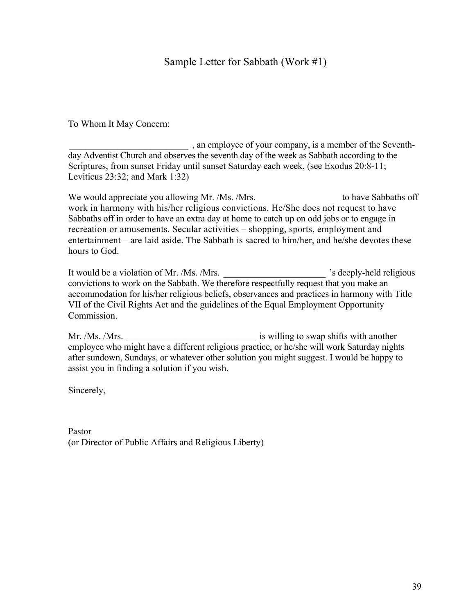#### Sample Letter for Sabbath (Work #1)

To Whom It May Concern:

\_\_\_\_\_\_\_\_\_\_\_\_\_\_\_\_\_\_\_\_\_\_ , an employee of your company, is a member of the Seventhday Adventist Church and observes the seventh day of the week as Sabbath according to the Scriptures, from sunset Friday until sunset Saturday each week, (see Exodus 20:8-11; Leviticus 23:32; and Mark 1:32)

We would appreciate you allowing Mr. /Ms. /Mrs.  $\blacksquare$  to have Sabbaths off work in harmony with his/her religious convictions. He/She does not request to have Sabbaths off in order to have an extra day at home to catch up on odd jobs or to engage in recreation or amusements. Secular activities – shopping, sports, employment and entertainment – are laid aside. The Sabbath is sacred to him/her, and he/she devotes these hours to God.

It would be a violation of Mr. /Ms. /Mrs. **Example 20** is deeply-held religious convictions to work on the Sabbath. We therefore respectfully request that you make an accommodation for his/her religious beliefs, observances and practices in harmony with Title VII of the Civil Rights Act and the guidelines of the Equal Employment Opportunity Commission.

Mr. /Ms. /Mrs. \_\_\_\_\_\_\_\_\_\_\_\_\_\_\_\_\_\_\_\_\_\_\_\_\_\_\_\_ is willing to swap shifts with another employee who might have a different religious practice, or he/she will work Saturday nights after sundown, Sundays, or whatever other solution you might suggest. I would be happy to assist you in finding a solution if you wish.

Sincerely,

Pastor (or Director of Public Affairs and Religious Liberty)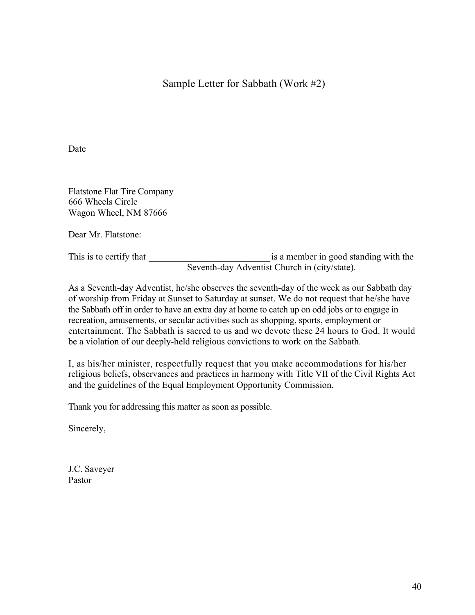Sample Letter for Sabbath (Work #2)

Date

Flatstone Flat Tire Company 666 Wheels Circle Wagon Wheel, NM 87666

Dear Mr. Flatstone:

This is to certify that  $\qquad \qquad$  is a member in good standing with the Seventh-day Adventist Church in (city/state).

As a Seventh-day Adventist, he/she observes the seventh-day of the week as our Sabbath day of worship from Friday at Sunset to Saturday at sunset. We do not request that he/she have the Sabbath off in order to have an extra day at home to catch up on odd jobs or to engage in recreation, amusements, or secular activities such as shopping, sports, employment or entertainment. The Sabbath is sacred to us and we devote these 24 hours to God. It would be a violation of our deeply-held religious convictions to work on the Sabbath.

I, as his/her minister, respectfully request that you make accommodations for his/her religious beliefs, observances and practices in harmony with Title VII of the Civil Rights Act and the guidelines of the Equal Employment Opportunity Commission.

Thank you for addressing this matter as soon as possible.

Sincerely,

J.C. Saveyer Pastor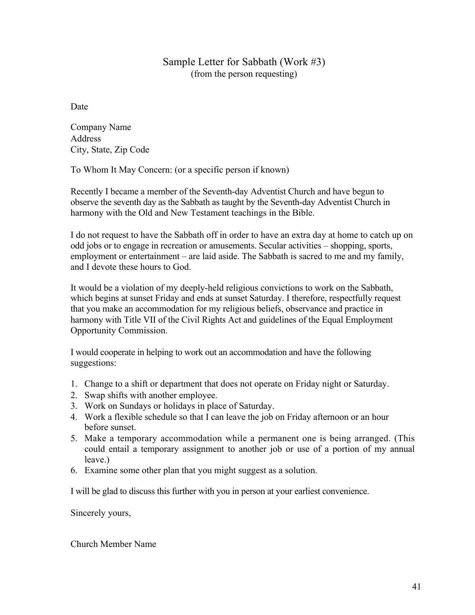#### Sample Letter for Sabbath (Work #3) (from the person requesting)

Date

Company Name Address City, State, Zip Code

To Whom It May Concern: (or a specific person if known)

Recently I became a member of the Seventh-day Adventist Church and have begun to observe the seventh day as the Sabbath as taught by the Seventh-day Adventist Church in harmony with the Old and New Testament teachings in the Bible.

I do not request to have the Sabbath off in order to have an extra day at home to catch up on odd jobs or to engage in recreation or amusements. Secular activities – shopping, sports, employment or entertainment – are laid aside. The Sabbath is sacred to me and my family, and I devote these hours to God.

It would be a violation of my deeply-held religious convictions to work on the Sabbath, which begins at sunset Friday and ends at sunset Saturday. I therefore, respectfully request that you make an accommodation for my religious beliefs, observance and practice in harmony with Title VII of the Civil Rights Act and guidelines of the Equal Employment Opportunity Commission.

I would cooperate in helping to work out an accommodation and have the following suggestions:

- 1. Change to a shift or department that does not operate on Friday night or Saturday.
- 2. Swap shifts with another employee.
- 3. Work on Sundays or holidays in place of Saturday.
- 4. Work a flexible schedule so that I can leave the job on Friday afternoon or an hour before sunset.
- 5. Make a temporary accommodation while a permanent one is being arranged. (This could entail a temporary assignment to another job or use of a portion of my annual leave.)
- 6. Examine some other plan that you might suggest as a solution.

I will be glad to discuss this further with you in person at your earliest convenience.

Sincerely yours,

Church Member Name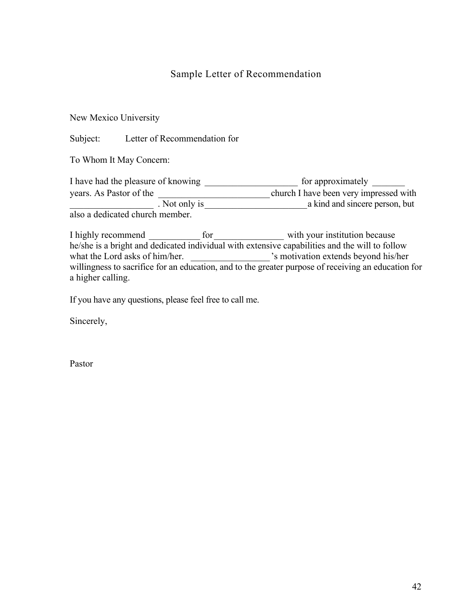#### Sample Letter of Recommendation

#### New Mexico University

Subject: Letter of Recommendation for

To Whom It May Concern:

I have had the pleasure of knowing \_\_\_\_\_\_\_\_\_\_\_\_\_\_\_\_\_\_\_\_\_\_\_ for approximately \_\_\_\_\_\_\_ years. As Pastor of the church I have been very impressed with . Not only is a kind and sincere person, but also a dedicated church member.

I highly recommend \_\_\_\_\_\_\_\_\_\_\_\_ for \_\_\_\_\_\_\_\_\_\_\_\_\_\_\_\_\_ with your institution because he/she is a bright and dedicated individual with extensive capabilities and the will to follow what the Lord asks of him/her.  $\blacksquare$  's motivation extends beyond his/her willingness to sacrifice for an education, and to the greater purpose of receiving an education for a higher calling.

If you have any questions, please feel free to call me.

Sincerely,

Pastor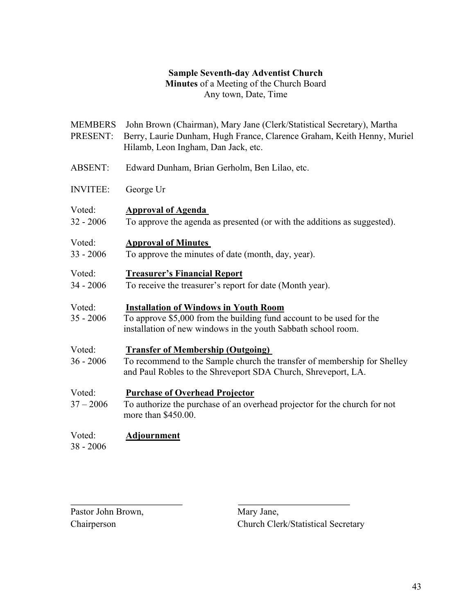#### **Sample Seventh-day Adventist Church**

**Minutes** of a Meeting of the Church Board Any town, Date, Time

| <b>MEMBERS</b><br>PRESENT: | John Brown (Chairman), Mary Jane (Clerk/Statistical Secretary), Martha<br>Berry, Laurie Dunham, Hugh France, Clarence Graham, Keith Henny, Muriel<br>Hilamb, Leon Ingham, Dan Jack, etc. |
|----------------------------|------------------------------------------------------------------------------------------------------------------------------------------------------------------------------------------|
| <b>ABSENT:</b>             | Edward Dunham, Brian Gerholm, Ben Lilao, etc.                                                                                                                                            |
| <b>INVITEE:</b>            | George Ur                                                                                                                                                                                |
| Voted:<br>$32 - 2006$      | <b>Approval of Agenda</b><br>To approve the agenda as presented (or with the additions as suggested).                                                                                    |
| Voted:<br>$33 - 2006$      | <b>Approval of Minutes</b><br>To approve the minutes of date (month, day, year).                                                                                                         |
| Voted:<br>$34 - 2006$      | <b>Treasurer's Financial Report</b><br>To receive the treasurer's report for date (Month year).                                                                                          |
| Voted:<br>$35 - 2006$      | <b>Installation of Windows in Youth Room</b><br>To approve \$5,000 from the building fund account to be used for the<br>installation of new windows in the youth Sabbath school room.    |
| Voted:<br>$36 - 2006$      | <b>Transfer of Membership (Outgoing)</b><br>To recommend to the Sample church the transfer of membership for Shelley<br>and Paul Robles to the Shreveport SDA Church, Shreveport, LA.    |
| Voted:<br>$37 - 2006$      | <b>Purchase of Overhead Projector</b><br>To authorize the purchase of an overhead projector for the church for not<br>more than \$450.00.                                                |
| Voted:<br>$38 - 2006$      | <b>Adjournment</b>                                                                                                                                                                       |

Pastor John Brown, Mary Jane,

Chairperson Church Clerk/Statistical Secretary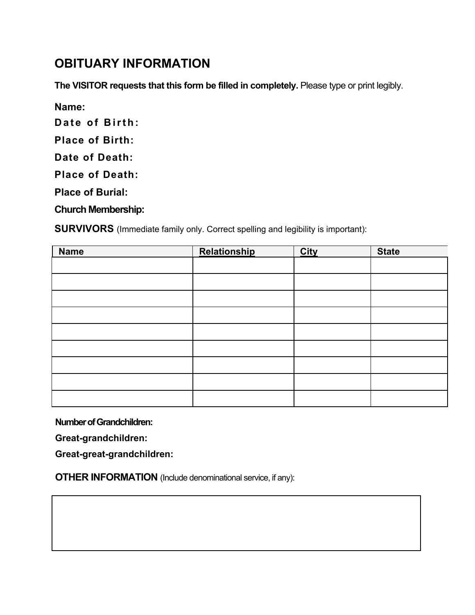#### **OBITUARY INFORMATION**

**The VISITOR requests that this form be filled in completely.** Please type or print legibly.

**Name:**

**Date of Birth:** 

**Place of Birth:** 

**Date of Death:** 

**Place of Death:** 

**Place of Burial:** 

**Church Membership:**

**SURVIVORS** (Immediate family only. Correct spelling and legibility is important):

| <b>Name</b> | <b>Relationship</b> | <b>City</b> | <b>State</b> |
|-------------|---------------------|-------------|--------------|
|             |                     |             |              |
|             |                     |             |              |
|             |                     |             |              |
|             |                     |             |              |
|             |                     |             |              |
|             |                     |             |              |
|             |                     |             |              |
|             |                     |             |              |
|             |                     |             |              |

**Number of Grandchildren:** 

**Great-grandchildren:**

**Great-great-grandchildren:**

**OTHER INFORMATION** (Include denominational service, if any):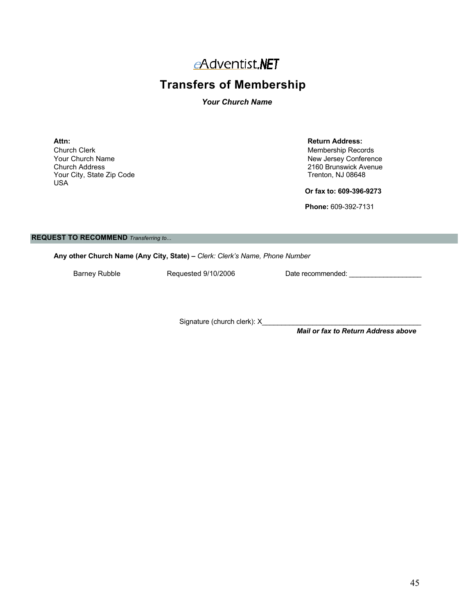#### eAdventist.NET

#### **Transfers of Membership**

#### *Your Church Name*

**Attn: Return Address:** Church Clerk Membership Records<br>
Your Church Name<br>
Your Church Name Your Church Name New Jersey Conference Your City, State Zip Code USA

2160 Brunswick Avenue<br>Trenton, NJ 08648

**Or fax to: 609-396-9273**

**Phone:** 609-392-7131

#### **REQUEST TO RECOMMEND** *Transferring to...*

**Any other Church Name (Any City, State) –** *Clerk: Clerk's Name, Phone Number*

Barney Rubble **Requested 9/10/2006** Date recommended: \_\_\_\_\_\_\_\_\_\_\_\_\_\_\_\_\_\_\_\_\_\_\_\_\_\_\_

Signature (church clerk): X

*Mail or fax to Return Address above*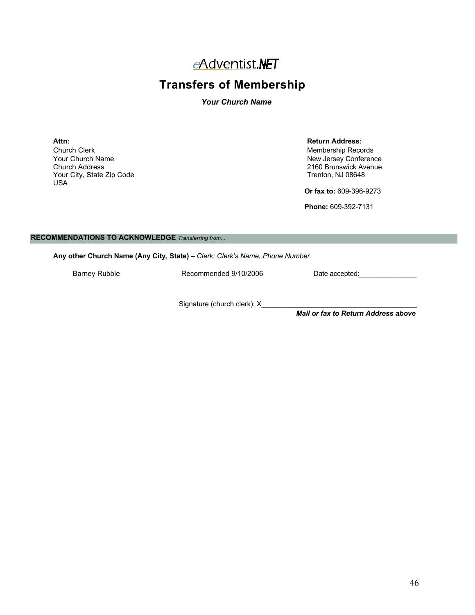#### eAdventist.NET

#### **Transfers of Membership**

#### *Your Church Name*

**Attn: Return Address:** Church Clerk Membership Records<br>
Your Church Name<br>
Your Church Name Your Church Name<br>
Church Address
Church Address
Church Address
Church Address
New Jersey Conference
Church Address
Church Address
Church Address
New Jersey Conference
Church Address
New Jersey Conference

Church Address

N Your City, State Zip Code USA

2160 Brunswick Avenue<br>Trenton, NJ 08648

**Or fax to:** 609-396-9273

**Phone:** 609-392-7131

#### **RECOMMENDATIONS TO ACKNOWLEDGE** *Transferring from...*

**Any other Church Name (Any City, State) –** *Clerk: Clerk's Name, Phone Number*

Barney Rubble **Recommended 9/10/2006** Date accepted:

Signature (church clerk): X\_

*Mail or fax to Return Address above*